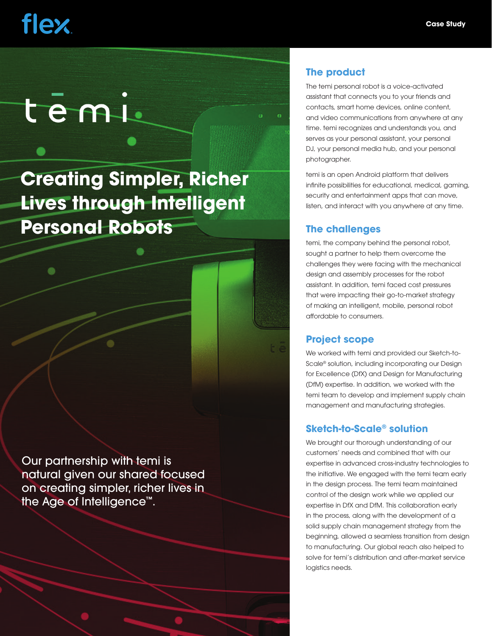# **flex**

# temi

### **Creating Simpler, Richer Lives through Intelligent Personal Robots**

Our partnership with temi is natural given our shared focused on creating simpler, richer lives in the Age of Intelligence™.

#### **The product**

The temi personal robot is a voice-activated assistant that connects you to your friends and contacts, smart home devices, online content, and video communications from anywhere at any time. temi recognizes and understands you, and serves as your personal assistant, your personal DJ, your personal media hub, and your personal photographer.

temi is an open Android platform that delivers infinite possibilities for educational, medical, gaming, security and entertainment apps that can move, listen, and interact with you anywhere at any time.

#### **The challenges**

temi, the company behind the personal robot, sought a partner to help them overcome the challenges they were facing with the mechanical design and assembly processes for the robot assistant. In addition, temi faced cost pressures that were impacting their go-to-market strategy of making an intelligent, mobile, personal robot affordable to consumers.

#### **Project scope**

We worked with temi and provided our Sketch-to-Scale® solution, including incorporating our Design for Excellence (DfX) and Design for Manufacturing (DfM) expertise. In addition, we worked with the temi team to develop and implement supply chain management and manufacturing strategies.

#### **Sketch-to-Scale® solution**

We brought our thorough understanding of our customers' needs and combined that with our expertise in advanced cross-industry technologies to the initiative. We engaged with the temi team early in the design process. The temi team maintained control of the design work while we applied our expertise in DfX and DfM. This collaboration early in the process, along with the development of a solid supply chain management strategy from the beginning, allowed a seamless transition from design to manufacturing. Our global reach also helped to solve for temi's distribution and after-market service logistics needs.